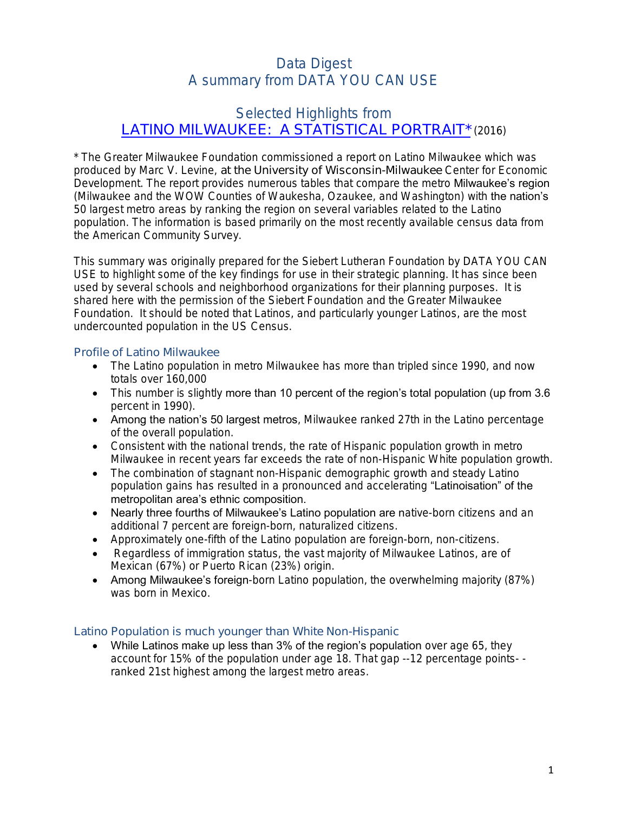# Data Digest A summary from DATA YOU CAN USE

## Selected Highlights from [LATINO MILWAUKEE: A STATISTICAL PORTRAIT\\*](http://www.greatermilwaukeefoundation.org/files/7914/6215/2972/Latino_Milwaukee_Study_2016.pdf) (2016)

\* The Greater Milwaukee Foundation commissioned a report on Latino Milwaukee which was produced by Marc V. Levine, at the University of Wisconsin-Milwaukee Center for Economic Development. The report provides numerous tables that compare the metro **Milwaukee's region** (Milwaukee and the WOW Counties of Waukesha, Ozaukee, and Washington) with the nation's 50 largest metro areas by ranking the region on several variables related to the Latino population. The information is based primarily on the most recently available census data from the American Community Survey.

This summary was originally prepared for the Siebert Lutheran Foundation by DATA YOU CAN USE to highlight some of the key findings for use in their strategic planning. It has since been used by several schools and neighborhood organizations for their planning purposes. It is shared here with the permission of the Siebert Foundation and the Greater Milwaukee Foundation. It should be noted that Latinos, and particularly younger Latinos, are the most undercounted population in the US Census.

### Profile of Latino Milwaukee

- The Latino population in metro Milwaukee has more than tripled since 1990, and now totals over 160,000
- This number is slightly more than 10 percent of the region's total population (up from 3.6 percent in 1990).
- Among the nation's 50 largest metros, Milwaukee ranked 27th in the Latino percentage of the overall population.
- Consistent with the national trends, the rate of Hispanic population growth in metro Milwaukee in recent years far exceeds the rate of non-Hispanic White population growth.
- The combination of stagnant non-Hispanic demographic growth and steady Latino population gains has resulted in a pronounced and accelerating "Latinoisation" of the metropolitan area's ethnic composition.
- Nearly three fourths of Milwaukee's Latino population are native-born citizens and an additional 7 percent are foreign-born, naturalized citizens.
- Approximately one-fifth of the Latino population are foreign-born, non-citizens.
- Regardless of immigration status, the vast majority of Milwaukee Latinos, are of Mexican (67%) or Puerto Rican (23%) origin.
- Among Milwaukee's foreign-born Latino population, the overwhelming majority (87%) was born in Mexico.

### Latino Population is much younger than White Non-Hispanic

• While Latinos make up less than  $3\%$  of the region's population over age 65, they account for 15% of the population under age 18. That gap --12 percentage points- ranked 21st highest among the largest metro areas.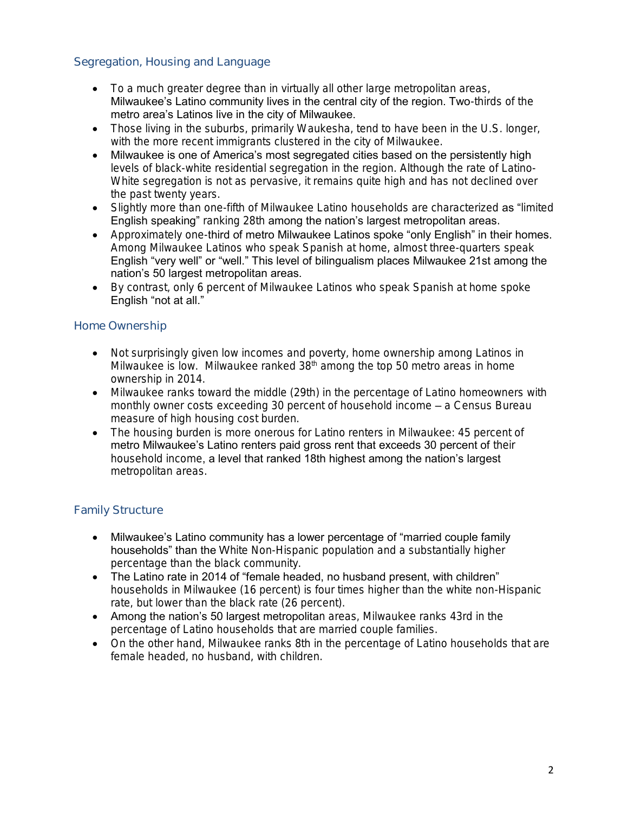### Segregation, Housing and Language

- To a much greater degree than in virtually all other large metropolitan areas, Milwaukee's Latino community lives in the central city of the region. Two-thirds of the metro area's Latinos live in the city of Milwaukee.
- Those living in the suburbs, primarily Waukesha, tend to have been in the U.S. longer, with the more recent immigrants clustered in the city of Milwaukee.
- Milwaukee is one of America's most segregated cities based on the persistently high levels of black-white residential segregation in the region. Although the rate of Latino-White segregation is not as pervasive, it remains quite high and has not declined over the past twenty years.
- Slightly more than one-fifth of Milwaukee Latino households are characterized as "limited English speaking" ranking 28th among the nation's largest metropolitan areas.
- Approximately one-third of metro Milwaukee Latinos spoke "only English" in their homes. Among Milwaukee Latinos who speak Spanish at home, almost three-quarters speak English "very well" or "well." This level of bilingualism places Milwaukee 21st among the nation's 50 largest metropolitan areas.
- By contrast, only 6 percent of Milwaukee Latinos who speak Spanish at home spoke English "not at all."

### Home Ownership

- Not surprisingly given low incomes and poverty, home ownership among Latinos in Milwaukee is low. Milwaukee ranked 38<sup>th</sup> among the top 50 metro areas in home ownership in 2014.
- Milwaukee ranks toward the middle (29th) in the percentage of Latino homeowners with monthly owner costs exceeding 30 percent of household income – a Census Bureau measure of high housing cost burden.
- The housing burden is more onerous for Latino renters in Milwaukee: 45 percent of metro Milwaukee's Latino renters paid gross rent that exceeds 30 percent of their household income, a level that ranked 18th highest among the nation's largest metropolitan areas.

### Family Structure

- Milwaukee's Latino community has a lower percentage of "married couple family households" than the White Non-Hispanic population and a substantially higher percentage than the black community.
- The Latino rate in 2014 of "female headed, no husband present, with children" households in Milwaukee (16 percent) is four times higher than the white non-Hispanic rate, but lower than the black rate (26 percent).
- Among the nation's 50 largest metropolitan areas, Milwaukee ranks 43rd in the percentage of Latino households that are married couple families.
- On the other hand, Milwaukee ranks 8th in the percentage of Latino households that are female headed, no husband, with children.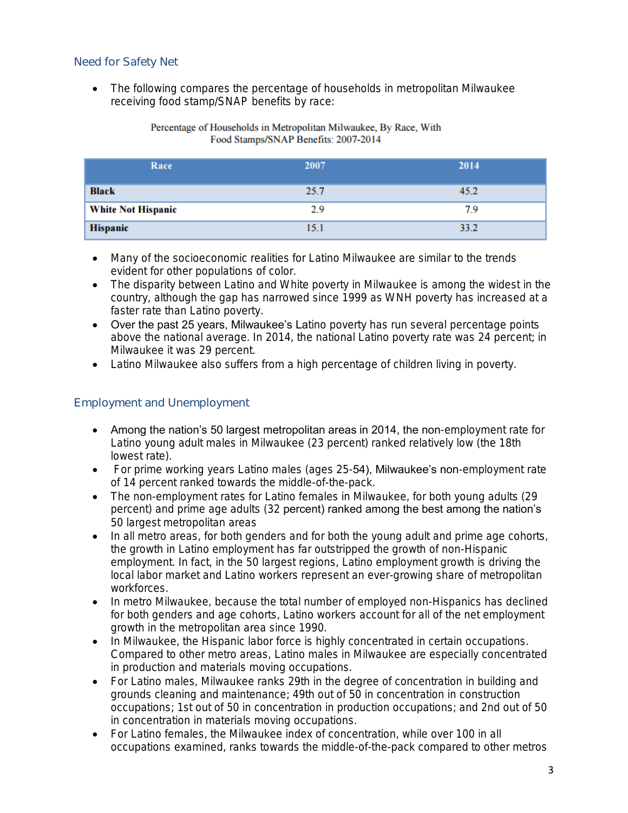### Need for Safety Net

 The following compares the percentage of households in metropolitan Milwaukee receiving food stamp/SNAP benefits by race:

#### Percentage of Households in Metropolitan Milwaukee, By Race, With Food Stamps/SNAP Benefits: 2007-2014

| Race                      | 2007 | 2014 |
|---------------------------|------|------|
| <b>Black</b>              | 25.7 | 45.2 |
| <b>White Not Hispanic</b> | 2.9  | 7.9  |
| <b>Hispanic</b>           | 15.1 | 33.2 |

- Many of the socioeconomic realities for Latino Milwaukee are similar to the trends evident for other populations of color.
- The disparity between Latino and White poverty in Milwaukee is among the widest in the country, although the gap has narrowed since 1999 as WNH poverty has increased at a faster rate than Latino poverty.
- Over the past 25 years, Milwaukee's Latino poverty has run several percentage points above the national average. In 2014, the national Latino poverty rate was 24 percent; in Milwaukee it was 29 percent.
- Latino Milwaukee also suffers from a high percentage of children living in poverty.

### Employment and Unemployment

- Among the nation's 50 largest metropolitan areas in 2014, the non-employment rate for Latino young adult males in Milwaukee (23 percent) ranked relatively low (the 18th lowest rate).
- For prime working years Latino males (ages 25-54), Milwaukee's non-employment rate of 14 percent ranked towards the middle-of-the-pack.
- The non-employment rates for Latino females in Milwaukee, for both young adults (29 percent) and prime age adults (32 percent) ranked among the best among the nation's 50 largest metropolitan areas
- In all metro areas, for both genders and for both the young adult and prime age cohorts, the growth in Latino employment has far outstripped the growth of non-Hispanic employment. In fact, in the 50 largest regions, Latino employment growth is driving the local labor market and Latino workers represent an ever-growing share of metropolitan workforces.
- In metro Milwaukee, because the total number of employed non-Hispanics has declined for both genders and age cohorts, Latino workers account for all of the net employment growth in the metropolitan area since 1990.
- In Milwaukee, the Hispanic labor force is highly concentrated in certain occupations. Compared to other metro areas, Latino males in Milwaukee are especially concentrated in production and materials moving occupations.
- For Latino males, Milwaukee ranks 29th in the degree of concentration in building and grounds cleaning and maintenance; 49th out of 50 in concentration in construction occupations; 1st out of 50 in concentration in production occupations; and 2nd out of 50 in concentration in materials moving occupations.
- For Latino females, the Milwaukee index of concentration, while over 100 in all occupations examined, ranks towards the middle-of-the-pack compared to other metros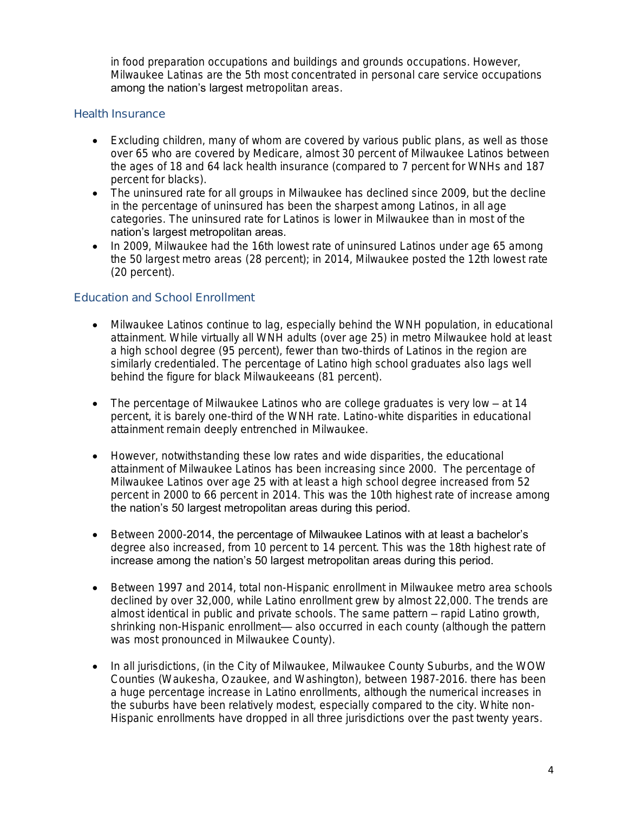in food preparation occupations and buildings and grounds occupations. However, Milwaukee Latinas are the 5th most concentrated in personal care service occupations among the nation's largest metropolitan areas.

#### Health Insurance

- Excluding children, many of whom are covered by various public plans, as well as those over 65 who are covered by Medicare, almost 30 percent of Milwaukee Latinos between the ages of 18 and 64 lack health insurance (compared to 7 percent for WNHs and 187 percent for blacks).
- The uninsured rate for all groups in Milwaukee has declined since 2009, but the decline in the percentage of uninsured has been the sharpest among Latinos, in all age categories. The uninsured rate for Latinos is lower in Milwaukee than in most of the nation's largest metropolitan areas.
- In 2009, Milwaukee had the 16th lowest rate of uninsured Latinos under age 65 among the 50 largest metro areas (28 percent); in 2014, Milwaukee posted the 12th lowest rate (20 percent).

### Education and School Enrollment

- Milwaukee Latinos continue to lag, especially behind the WNH population, in educational attainment. While virtually all WNH adults (over age 25) in metro Milwaukee hold at least a high school degree (95 percent), fewer than two-thirds of Latinos in the region are similarly credentialed. The percentage of Latino high school graduates also lags well behind the figure for black Milwaukeeans (81 percent).
- The percentage of Milwaukee Latinos who are college graduates is very low at 14 percent, it is barely one-third of the WNH rate. Latino-white disparities in educational attainment remain deeply entrenched in Milwaukee.
- However, notwithstanding these low rates and wide disparities, the educational attainment of Milwaukee Latinos has been increasing since 2000. The percentage of Milwaukee Latinos over age 25 with at least a high school degree increased from 52 percent in 2000 to 66 percent in 2014. This was the 10th highest rate of increase among the nation's 50 largest metropolitan areas during this period.
- Between 2000-2014, the percentage of Milwaukee Latinos with at least a bachelor's degree also increased, from 10 percent to 14 percent. This was the 18th highest rate of increase among the nation's 50 largest metropolitan areas during this period.
- Between 1997 and 2014, total non-Hispanic enrollment in Milwaukee metro area schools declined by over 32,000, while Latino enrollment grew by almost 22,000. The trends are almost identical in public and private schools. The same pattern – rapid Latino growth, shrinking non-Hispanic enrollment— also occurred in each county (although the pattern was most pronounced in Milwaukee County).
- In all jurisdictions, (in the City of Milwaukee, Milwaukee County Suburbs, and the WOW Counties (Waukesha, Ozaukee, and Washington), between 1987-2016. there has been a huge percentage increase in Latino enrollments, although the numerical increases in the suburbs have been relatively modest, especially compared to the city. White non-Hispanic enrollments have dropped in all three jurisdictions over the past twenty years.